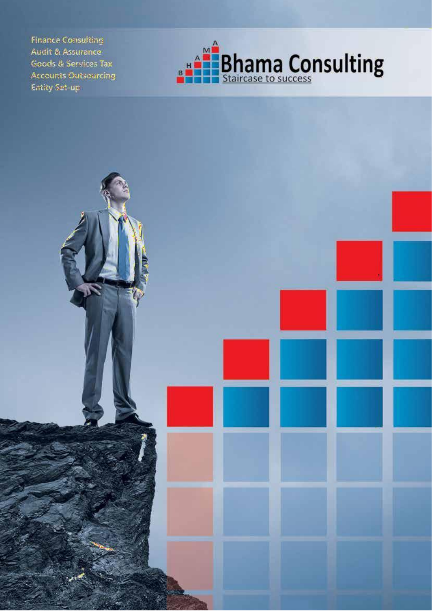**Finance Consulting** Audit & Assurance Goods & Services Tax **Accounts Outsourcing** Entity Set-up

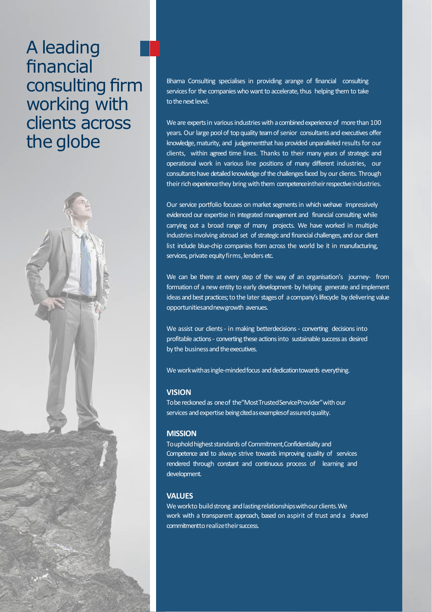# A leading financial consulting firm working with clients across the globe



Bhama Consulting specialises in providing arange of financial consulting services for the companies who want to accelerate, thus helping them to take to the next level.

We are experts in various industries with a combined experience of more than 100 years. Our large pool of top quality team of senior consultants and executives offer knowledge, maturity, and judgementthat has provided unparalleled results for our clients, within agreed time lines. Thanks to their many years of strategic and operational work in various line positions of many different industries, our consultants have detailed knowledge of the challenges faced by our clients. Through their rich experience they bring with them competence in their respective industries.

Our service portfolio focuses on market segments in which wehave impressively evidenced our expertise in integrated management and financial consulting while carrying out a broad range of many projects. We have worked in multiple industries involving abroad set of strategic and financial challenges, and our client list include blue-chip companies from across the world be it in manufacturing, services, private equity firms, lenders etc.

We can be there at every step of the way of an organisation's journey- from formation of a new entity to early development- by helping generate and implement ideas and best practices; to the later stages of a company's lifecyde by delivering value opportunitiesandnewgrowth avenues.

We assist our clients - in making betterdecisions - converting decisions into profitable actions - converting these actions into sustainable success as desired by the business and the executives.

We work with as ingle-minded focus and dedication towards everything.

#### **VISION**

Tobe reckoned as one of the "Most Trusted Service Provider" with our services and expertise being cited as examples of assured quality.

#### **MISSION**

To uphold highest standards of Commitment, Confidentiality and Competence and to always strive towards improving quality of services rendered through constant and continuous process of learning and development.

## **VALUES**

We workto build strong and lasting relationships withour clients. We work with a transparent approach, based on aspirit of trust and a shared commitmentto realize their success.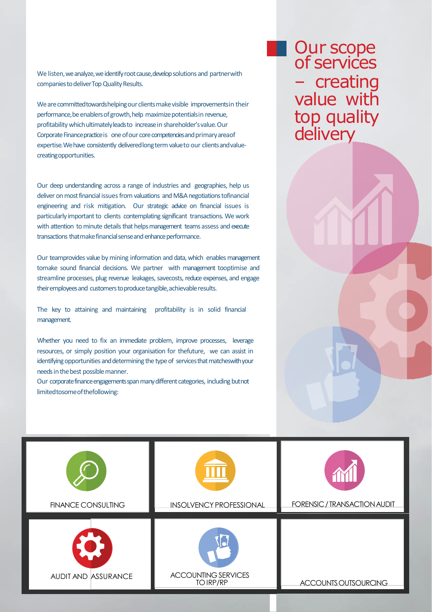We listen, we analyze, we identify root cause, develop solutions and partner with companies to deliver Top Quality Results.

We are committed towards helping our clients make visible improvements in their performance, be enablers of growth, help maximize potentials in revenue, profitability which ultimately leads to increase in shareholder's value. Our Corporate Finance practice is one of our core competencies and primary area of expertise.Wehave consistently delivered long term value to our clients and valuecreatingopportunities.

Our deep understanding across a range of industries and geographies, help us deliver on most financial issues from valuations and M&A negotiations tofinancial engineering and risk mitigation. Our strategic advice on financial issues is particularly important to clients contemplating significant transactions. We work with attention to minute details that helps management teams assess and execute transactions that make financial sense and enhance performance.

Our teamprovides value by mining information and data, which enables management tomake sound financial decisions. We partner with management tooptimise and streamline processes, plug revenue leakages, savecosts, reduce expenses, and engage their employees and customers to produce tangible, achievable results.

The key to attaining and maintaining profitability is in solid financial management.

Whether you need to fix an immediate problem, improve processes, leverage resources, or simply position your organisation for thefuture, we can assist in identifying opportunities and determining the type of services that matcheswith your needs in the best possible manner.

Our corporate finance engagements span many different categories, including but not limitedtosomeofthefollowing:

## Our scope of services – creating value with top quality delivery

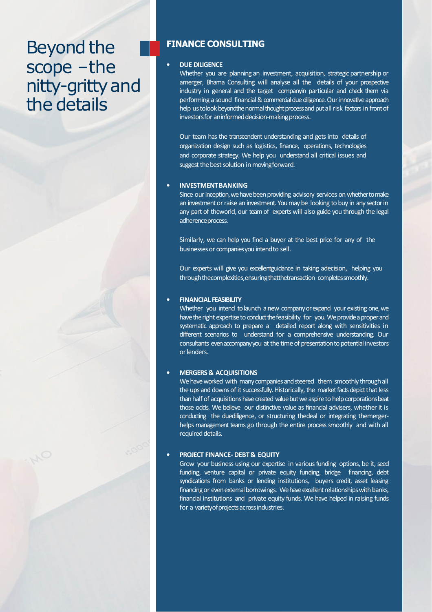# **Beyond the** scope –the nitty-gritty and the details



#### • **DUE DILIGENCE**

Whether you are planning an investment, acquisition, strategic partnership or amerger, Bhama Consulting will analyse all the details of your prospective industry in general and the target companyin particular and check them via performing a sound financial & commercial due diligence. Our innovative approach help ustolook beyondthe normal thought process and put all risk factors in front of investors for an informed decision-making process.

Our team has the transcendent understanding and gets into details of organization design such as logistics, finance, operations, technologies and corporate strategy. We help you understand all critical issues and suggest the best solution in moving forward.

#### • **INVESTMENTBANKING**

Since our inception, we have been providing advisory services on whether to make an investment or raise an investment. You may be looking to buy in any sector in any part of theworld, our teamof experts will also guide you through the legal adherence process.

Similarly, we can help you find a buyer at the best price for any of the businesses or companies you intend to sell.

Our experts will give you excellentguidance in taking adecision, helping you throughthecomplexities,ensuringthatthetransaction completessmoothly.

#### • **FINANCIAL FEASIBILITY**

Whether you intend to launch a new company or expand your existing one, we have the right expertise to conduct the feasibility for you. We provide a proper and systematic approach to prepare a detailed report along with sensitivities in different scenarios to understand for a comprehensive understanding. Our consultants even accompany you at the time of presentation to potential investors orlenders.

#### • **MERGERS & ACQUISITIONS**

We have worked with many companies and steered them smoothly through all the ups and downs of it successfully. Historically, the market facts depict that less than half of acquisitions have created value but we aspire to help corporations beat those odds. We believe our distinctive value as financial advisers, whether it is conducting the duediligence, or structuring thedeal or integrating themergerhelps management teams go through the entire process smoothly and with all required details.

#### • **PROJECT FINANCE- DEBT& EQUITY**

Grow your business using our expertise in various funding options, be it, seed funding, venture capital or private equity funding, bridge financing, debt syndications from banks or lending institutions, buyers credit, asset leasing financing or even external borrowings. We have excellent relationships with banks, financial institutions and private equity funds. We have helped in raising funds for a variety of projects acrossindustries.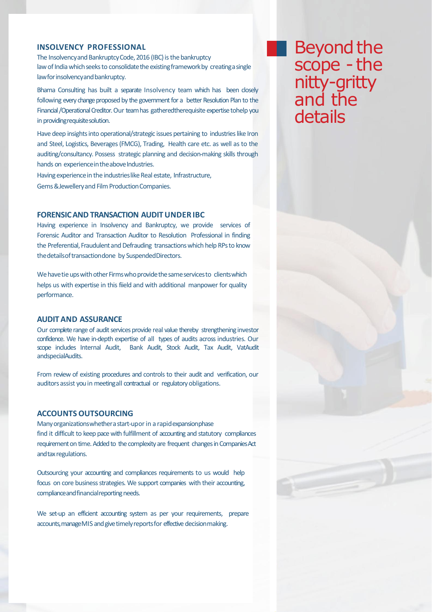### **INSOLVENCY PROFESSIONAL**

The Insolvency and Bankruptcy Code, 2016 (IBC) is the bankruptcy law of India which seeks to consolidate the existing framework by creatingasingle law for insolvency and bankruptcy.

Bhama Consulting has built a separate Insolvency team which has been closely following every change proposed by the government for a better Resolution Plan to the Financial /Operational Creditor. Our team has gatheredtherequisite expertise tohelp you in providing requisite solution.

Have deep insights into operational/strategic issues pertaining to industries like Iron and Steel, Logistics, Beverages(FMCG), Trading, Health care etc. as well as to the auditing/consultancy. Possess strategic planning and decision-making skills through hands on experience in the above Industries.

Having experience in the industries like Real estate, Infrastructure, Gems & Jewellery and Film Production Companies.

#### **FORENSICAND TRANSACTION AUDITUNDER IBC**

Having experience in Insolvency and Bankruptcy, we provide services of Forensic Auditor and Transaction Auditor to Resolution Professional in finding the Preferential, Fraudulent and Defrauding transactions which help RPs to know thedetailsoftransactiondone by SuspendedDirectors.

We have tie ups with other Firms who provide the same services to clients which helps us with expertise in this fiield and with additional manpower for quality performance.

### **AUDITAND ASSURANCE**

Our complete range of audit services provide real value thereby strengthening investor confidence. We have in-depth expertise of all types of audits across industries. Our scope includes Internal Audit, Bank Audit, Stock Audit, Tax Audit, VatAudit andspecialAudits.

From review of existing procedures and controls to their audit and verification, our auditors assist you in meetingall contractual or regulatory obligations.

#### **ACCOUNTS OUTSOURCING**

Many organizations whether a start-upor in a rapid expansion phase find it difficult to keep pace with fulfillment of accounting and statutory compliances requirement on time. Added to the complexity are frequent changes in Companies Act and tax regulations.

Outsourcing your accounting and compliances requirements to us would help focus on core business strategies. We support companies with their accounting, compliance and financial reporting needs.

We set-up an efficient accounting system as per your requirements, prepare accounts, manage MIS and give timely reports for effective decision making.

**Beyond the** scope - the nitty-gritty and the details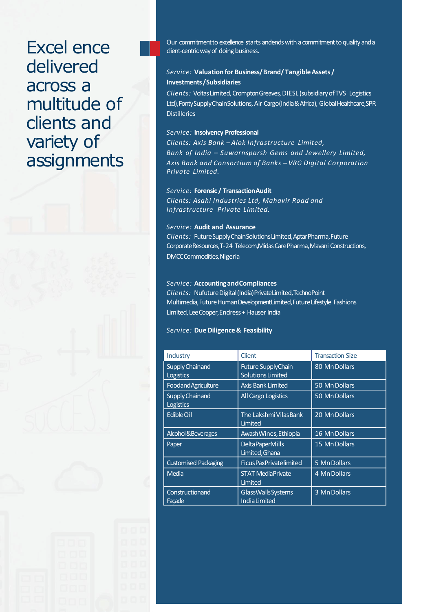## Excel ence delivered across a multitude of clients and variety of assignments

Our commitment to excellence starts andends with a commitment to quality and a client-centric way of doing business.

## *Service:* **Valuation for Business/ Brand/ Tangible Assets / Investments /Subsidiaries**

*Clients:* Voltas Limited, Crompton Greaves, DIESL (subsidiary of TVS Logistics Ltd), Fonty Supply Chain Solutions, Air Cargo (India & Africa), Global Healthcare, SPR **Distilleries** 

#### *Service:* **Insolvency Professional**

*Clients: Axis Bank – Alok Infrastructure Limited, Bank of India – Suwarnsparsh Gems and Jewellery Limited, Axis Bank and Consortium of Banks – VRG Digital Corporation Private Limited.*

### *Service:* **Forensic / TransactionAudit**

*Clients: Asahi Industries Ltd, Mahavir Road and Infrastructure Private Limited.*

#### *Service:* **Audit and Assurance**

*Clients:* FutureSupplyChainSolutionsLimited,AptarPharma,Future Corporate Resources, T-24 Telecom, Midas Care Pharma, Mavani Constructions, DMCCCommodities, Nigeria

#### *Service:* **Accounting andCompliances**

*Clients:* NufutureDigital(India)PrivateLimited,TechnoPoint Multimedia,FutureHumanDevelopmentLimited,FutureLifestyle Fashions Limited, Lee Cooper, Endress + Hauser India

#### *Service:* **Due Diligence & Feasibility**

| Industry                                   | Client                                                | <b>Transaction Size</b> |
|--------------------------------------------|-------------------------------------------------------|-------------------------|
| <b>Supply Chainand</b><br><b>Logistics</b> | <b>Future SupplyChain</b><br><b>Solutions Limited</b> | 80 Mn Dollars           |
| Foodand Agriculture                        | <b>Axis Bank Limited</b>                              | 50 Mn Dollars           |
| <b>Supply Chainand</b><br>Logistics        | All Cargo Logistics                                   | 50 Mn Dollars           |
| Edible Oil                                 | The Lakshmi Vilas Bank<br>Limited                     | 20 Mn Dollars           |
| Alcohol & Beverages                        | Awash Wines, Ethiopia                                 | 16 Mn Dollars           |
| Paper                                      | <b>Delta PaperMills</b><br>Limited, Ghana             | 15 Mn Dollars           |
| <b>Customised Packaging</b>                | <b>Ficus Pax Privatelimited</b>                       | 5 Mn Dollars            |
| Media                                      | <b>STAT MediaPrivate</b><br>Limited                   | 4 Mn Dollars            |
| Constructionand<br>Facade                  | GlassWalls Systems<br><b>India Limited</b>            | 3 Mn Dollars            |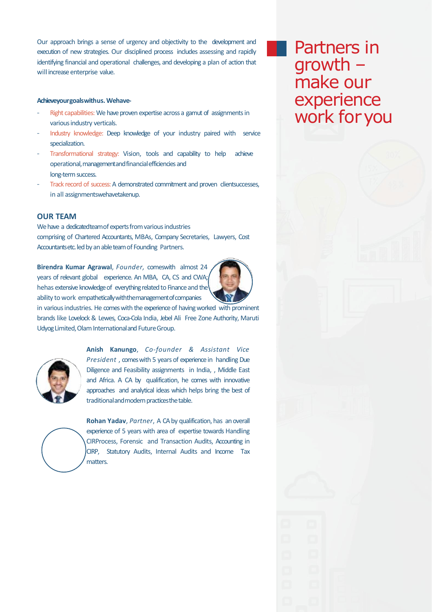Our approach brings a sense of urgency and objectivity to the development and execution of new strategies. Our disciplined process includes assessing and rapidly identifying financial and operational challenges, and developing a plan of action that will increase enterprise value.

#### **Achieveyourgoalswithus.Wehave-**

- Right capabilities: We have proven expertise across a gamut of assignments in various industry verticals.
- Industry knowledge: Deep knowledge of your industry paired with service specialization.
- Transformational strategy: Vision, tools and capability to help achieve operational,managementandfinancialefficiencies and long-term success.
- Track record of success: A demonstrated commitment and proven clientsuccesses, in all assignmentswehavetakenup.

#### **OUR TEAM**

We have a dedicatedteam of experts from various industries comprising of Chartered Accountants, MBAs, Company Secretaries, Lawyers, Cost Accountantsetc. led by an able team of Founding Partners.

**Birendra Kumar Agrawal**, *Founder,* comeswith almost 24 years of relevant global experience. An MBA, CA, CS and CWA; hehas extensive knowledge of everything related to Finance and the ability to work empathetically with the management of companies



in various industries. He comes with the experience of having worked with prominent brands like Lovelock& Lewes, Coca-Cola India, Jebel Ali Free Zone Authority, Maruti Udyog Limited, Olam International and Future Group.



**Anish Kanungo**, *Co-founder & Assistant Vice President*, comes with 5 years of experience in handling Due Diligence and Feasibility assignments in India, , Middle East and Africa. A CA by qualification, he comes with innovative approaches and analytical ideas which helps bring the best of traditional and modern practices the table.



**Rohan Yadav**, *Partner*, A CA by qualification, has an overall experience of 5 years with area of expertise towards Handling CIRProcess, Forensic and Transaction Audits, Accounting in CIRP, Statutory Audits, Internal Audits and Income Tax matters.

Partners in growth – make our experience work foryou